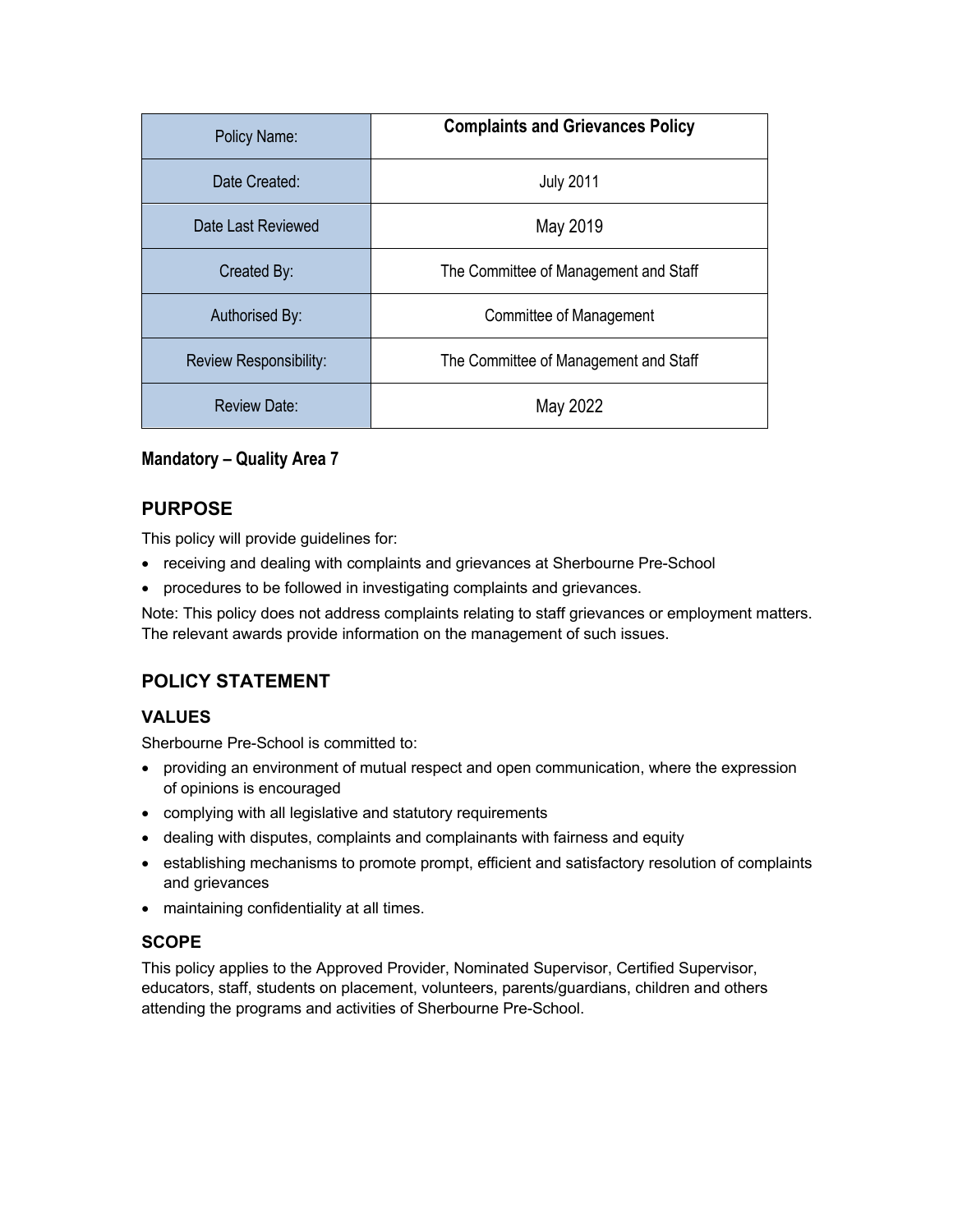| Policy Name:           | <b>Complaints and Grievances Policy</b> |
|------------------------|-----------------------------------------|
| Date Created:          | <b>July 2011</b>                        |
| Date Last Reviewed     | May 2019                                |
| Created By:            | The Committee of Management and Staff   |
| Authorised By:         | Committee of Management                 |
| Review Responsibility: | The Committee of Management and Staff   |
| <b>Review Date:</b>    | May 2022                                |

## **Mandatory – Quality Area 7**

## **PURPOSE**

This policy will provide guidelines for:

- receiving and dealing with complaints and grievances at Sherbourne Pre-School
- procedures to be followed in investigating complaints and grievances.

Note: This policy does not address complaints relating to staff grievances or employment matters. The relevant awards provide information on the management of such issues.

## **POLICY STATEMENT**

## **VALUES**

Sherbourne Pre-School is committed to:

- providing an environment of mutual respect and open communication, where the expression of opinions is encouraged
- complying with all legislative and statutory requirements
- dealing with disputes, complaints and complainants with fairness and equity
- establishing mechanisms to promote prompt, efficient and satisfactory resolution of complaints and grievances
- maintaining confidentiality at all times.

## **SCOPE**

This policy applies to the Approved Provider, Nominated Supervisor, Certified Supervisor, educators, staff, students on placement, volunteers, parents/guardians, children and others attending the programs and activities of Sherbourne Pre-School.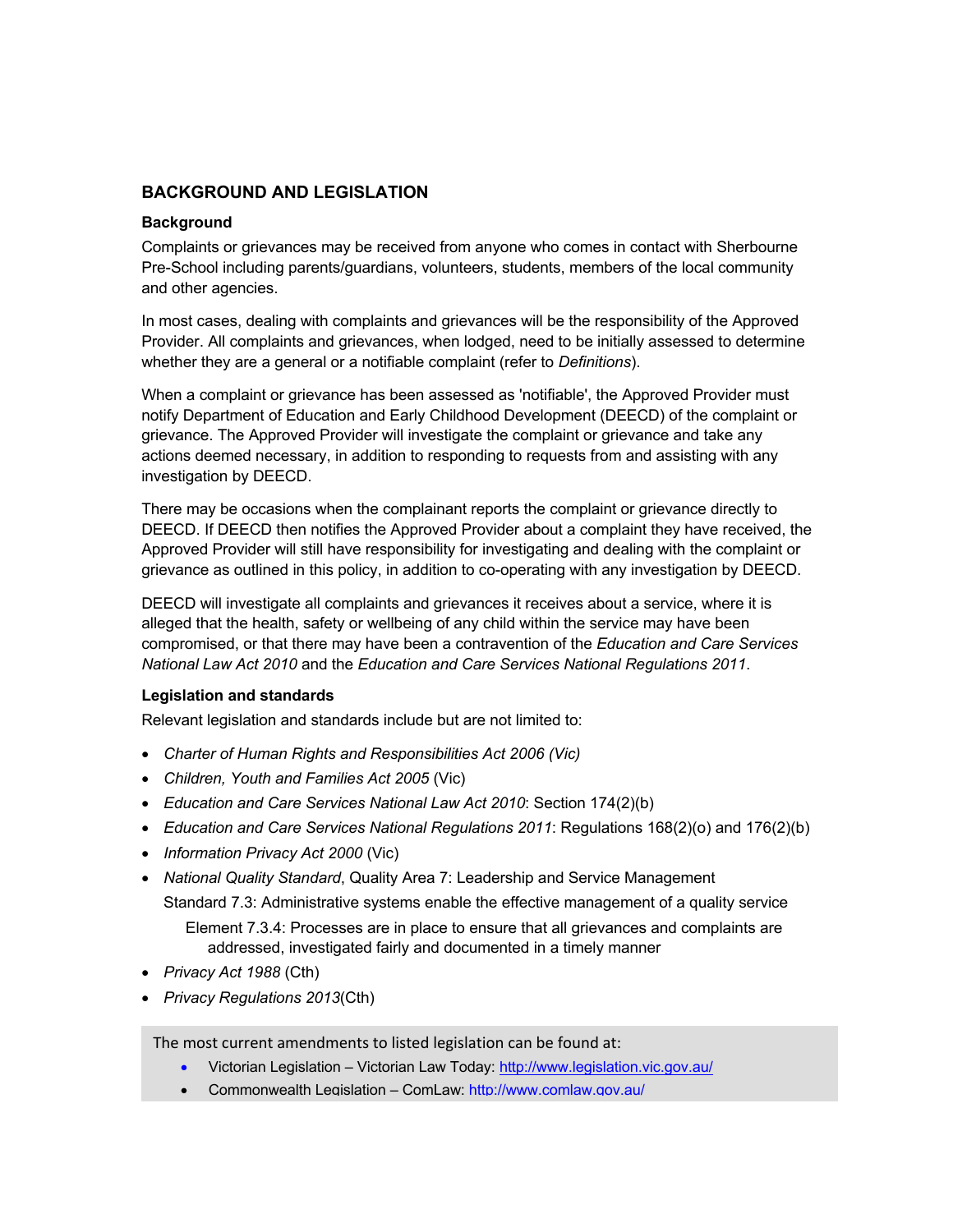## **BACKGROUND AND LEGISLATION**

#### **Background**

Complaints or grievances may be received from anyone who comes in contact with Sherbourne Pre-School including parents/guardians, volunteers, students, members of the local community and other agencies.

In most cases, dealing with complaints and grievances will be the responsibility of the Approved Provider. All complaints and grievances, when lodged, need to be initially assessed to determine whether they are a general or a notifiable complaint (refer to *Definitions*).

When a complaint or grievance has been assessed as 'notifiable', the Approved Provider must notify Department of Education and Early Childhood Development (DEECD) of the complaint or grievance. The Approved Provider will investigate the complaint or grievance and take any actions deemed necessary, in addition to responding to requests from and assisting with any investigation by DEECD.

There may be occasions when the complainant reports the complaint or grievance directly to DEECD. If DEECD then notifies the Approved Provider about a complaint they have received, the Approved Provider will still have responsibility for investigating and dealing with the complaint or grievance as outlined in this policy, in addition to co-operating with any investigation by DEECD.

DEECD will investigate all complaints and grievances it receives about a service, where it is alleged that the health, safety or wellbeing of any child within the service may have been compromised, or that there may have been a contravention of the *Education and Care Services National Law Act 2010* and the *Education and Care Services National Regulations 2011*.

#### **Legislation and standards**

Relevant legislation and standards include but are not limited to:

- *Charter of Human Rights and Responsibilities Act 2006 (Vic)*
- *Children, Youth and Families Act 2005* (Vic)
- *Education and Care Services National Law Act 2010*: Section 174(2)(b)
- *Education and Care Services National Regulations 2011*: Regulations 168(2)(o) and 176(2)(b)
- *Information Privacy Act 2000* (Vic)
- *National Quality Standard*, Quality Area 7: Leadership and Service Management

Standard 7.3: Administrative systems enable the effective management of a quality service Element 7.3.4: Processes are in place to ensure that all grievances and complaints are addressed, investigated fairly and documented in a timely manner

- *Privacy Act 1988* (Cth)
- *Privacy Regulations 2013*(Cth)

The most current amendments to listed legislation can be found at:

- Victorian Legislation Victorian Law Today: http://www.legislation.vic.gov.au/
- Commonwealth Legislation ComLaw: http://www.comlaw.gov.au/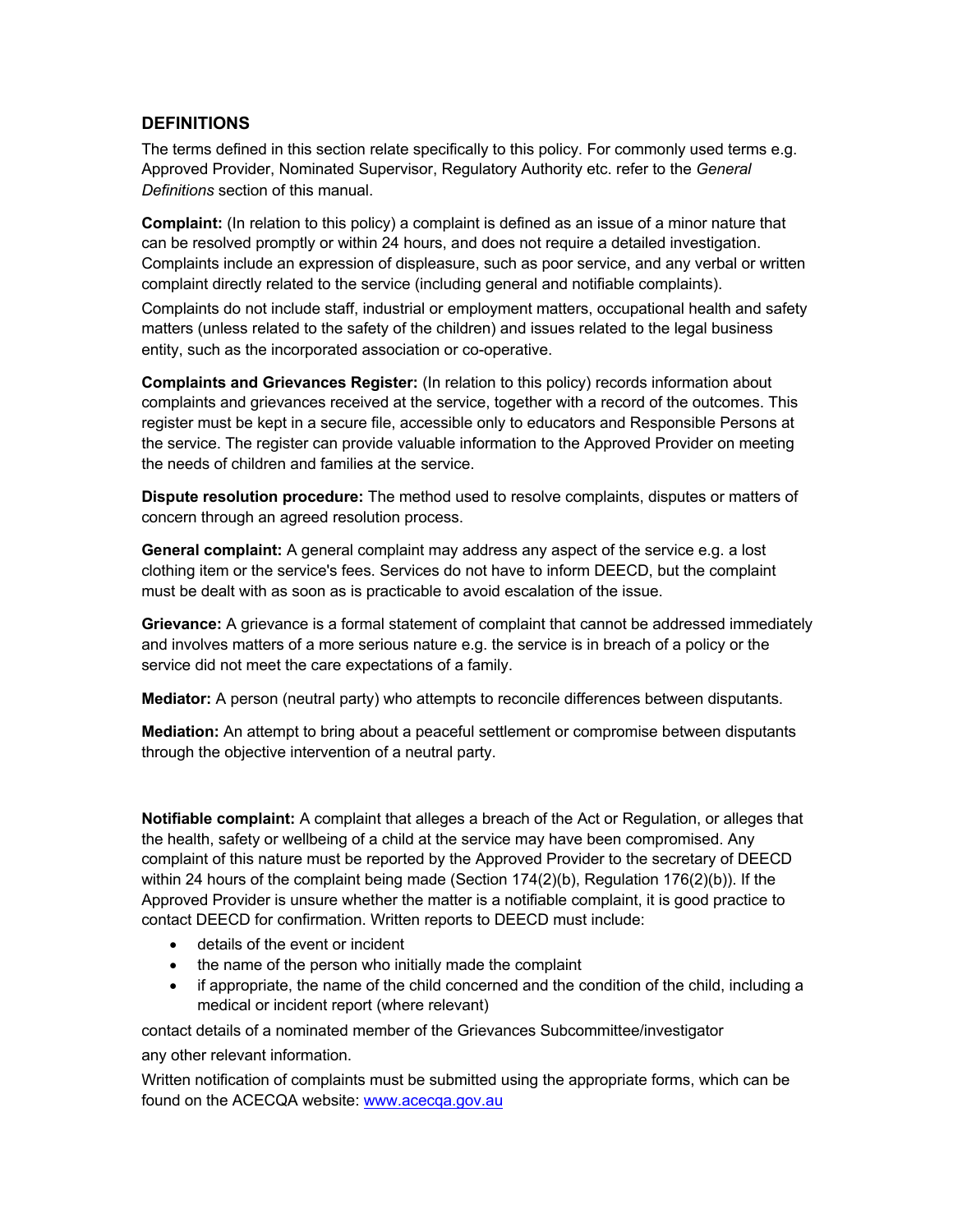### **DEFINITIONS**

The terms defined in this section relate specifically to this policy. For commonly used terms e.g. Approved Provider, Nominated Supervisor, Regulatory Authority etc. refer to the *General Definitions* section of this manual.

**Complaint:** (In relation to this policy) a complaint is defined as an issue of a minor nature that can be resolved promptly or within 24 hours, and does not require a detailed investigation. Complaints include an expression of displeasure, such as poor service, and any verbal or written complaint directly related to the service (including general and notifiable complaints).

Complaints do not include staff, industrial or employment matters, occupational health and safety matters (unless related to the safety of the children) and issues related to the legal business entity, such as the incorporated association or co-operative.

**Complaints and Grievances Register:** (In relation to this policy) records information about complaints and grievances received at the service, together with a record of the outcomes. This register must be kept in a secure file, accessible only to educators and Responsible Persons at the service. The register can provide valuable information to the Approved Provider on meeting the needs of children and families at the service.

**Dispute resolution procedure:** The method used to resolve complaints, disputes or matters of concern through an agreed resolution process.

**General complaint:** A general complaint may address any aspect of the service e.g. a lost clothing item or the service's fees. Services do not have to inform DEECD, but the complaint must be dealt with as soon as is practicable to avoid escalation of the issue.

**Grievance:** A grievance is a formal statement of complaint that cannot be addressed immediately and involves matters of a more serious nature e.g. the service is in breach of a policy or the service did not meet the care expectations of a family.

**Mediator:** A person (neutral party) who attempts to reconcile differences between disputants.

**Mediation:** An attempt to bring about a peaceful settlement or compromise between disputants through the objective intervention of a neutral party.

**Notifiable complaint:** A complaint that alleges a breach of the Act or Regulation, or alleges that the health, safety or wellbeing of a child at the service may have been compromised. Any complaint of this nature must be reported by the Approved Provider to the secretary of DEECD within 24 hours of the complaint being made (Section 174(2)(b), Regulation 176(2)(b)). If the Approved Provider is unsure whether the matter is a notifiable complaint, it is good practice to contact DEECD for confirmation. Written reports to DEECD must include:

- details of the event or incident
- the name of the person who initially made the complaint
- if appropriate, the name of the child concerned and the condition of the child, including a medical or incident report (where relevant)

contact details of a nominated member of the Grievances Subcommittee/investigator any other relevant information.

Written notification of complaints must be submitted using the appropriate forms, which can be found on the ACECQA website: www.acecqa.gov.au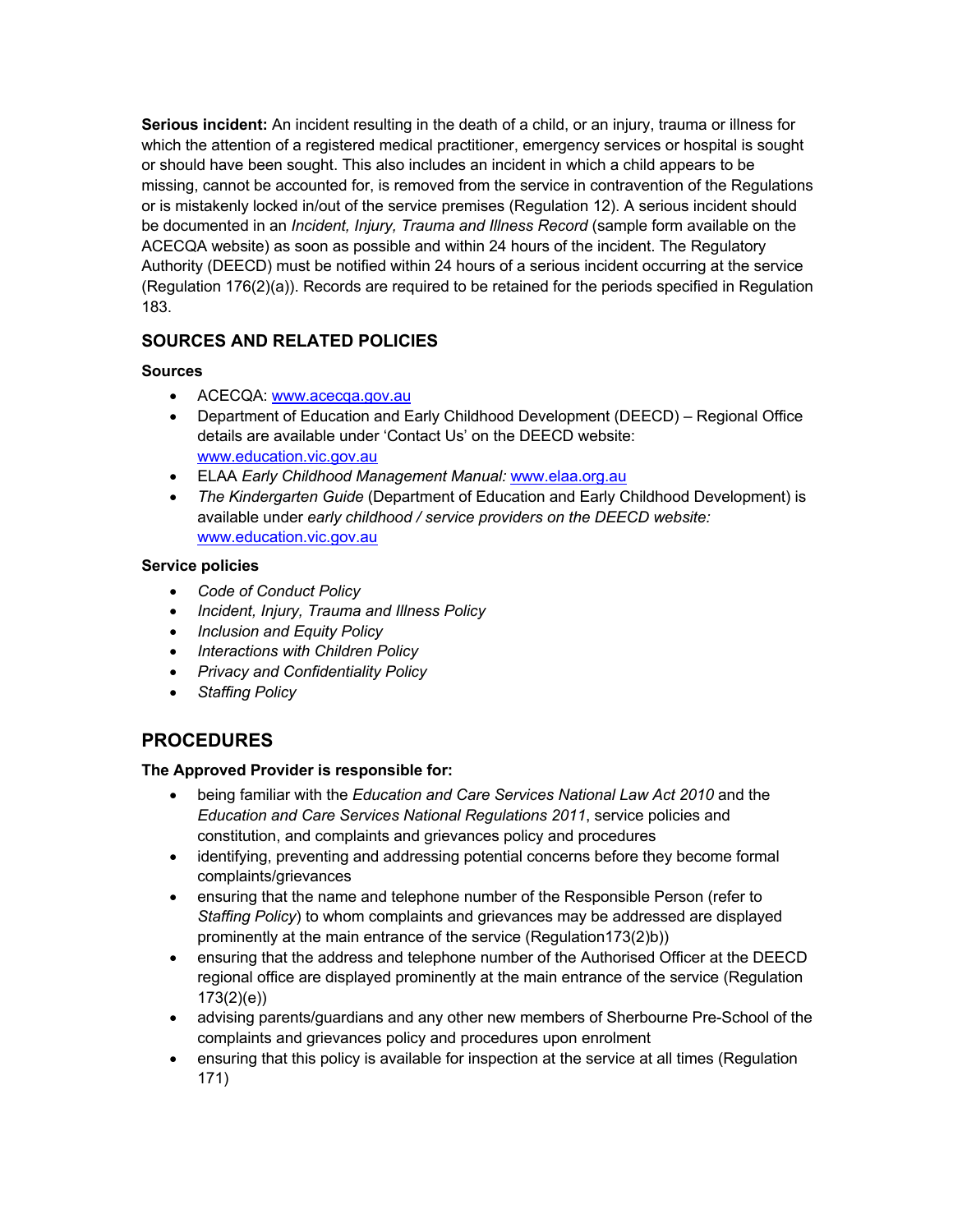**Serious incident:** An incident resulting in the death of a child, or an injury, trauma or illness for which the attention of a registered medical practitioner, emergency services or hospital is sought or should have been sought. This also includes an incident in which a child appears to be missing, cannot be accounted for, is removed from the service in contravention of the Regulations or is mistakenly locked in/out of the service premises (Regulation 12). A serious incident should be documented in an *Incident, Injury, Trauma and Illness Record* (sample form available on the ACECQA website) as soon as possible and within 24 hours of the incident. The Regulatory Authority (DEECD) must be notified within 24 hours of a serious incident occurring at the service (Regulation 176(2)(a)). Records are required to be retained for the periods specified in Regulation 183.

## **SOURCES AND RELATED POLICIES**

### **Sources**

- ACECQA: www.acecqa.gov.au
- Department of Education and Early Childhood Development (DEECD) Regional Office details are available under 'Contact Us' on the DEECD website: www.education.vic.gov.au
- ELAA *Early Childhood Management Manual:* www.elaa.org.au
- *The Kindergarten Guide* (Department of Education and Early Childhood Development) is available under *early childhood / service providers on the DEECD website:* www.education.vic.gov.au

### **Service policies**

- *Code of Conduct Policy*
- *Incident, Injury, Trauma and Illness Policy*
- *Inclusion and Equity Policy*
- *Interactions with Children Policy*
- *Privacy and Confidentiality Policy*
- *Staffing Policy*

## **PROCEDURES**

#### **The Approved Provider is responsible for:**

- being familiar with the *Education and Care Services National Law Act 2010* and the *Education and Care Services National Regulations 2011*, service policies and constitution, and complaints and grievances policy and procedures
- identifying, preventing and addressing potential concerns before they become formal complaints/grievances
- ensuring that the name and telephone number of the Responsible Person (refer to *Staffing Policy*) to whom complaints and grievances may be addressed are displayed prominently at the main entrance of the service (Regulation173(2)b))
- ensuring that the address and telephone number of the Authorised Officer at the DEECD regional office are displayed prominently at the main entrance of the service (Regulation 173(2)(e))
- advising parents/guardians and any other new members of Sherbourne Pre-School of the complaints and grievances policy and procedures upon enrolment
- ensuring that this policy is available for inspection at the service at all times (Regulation 171)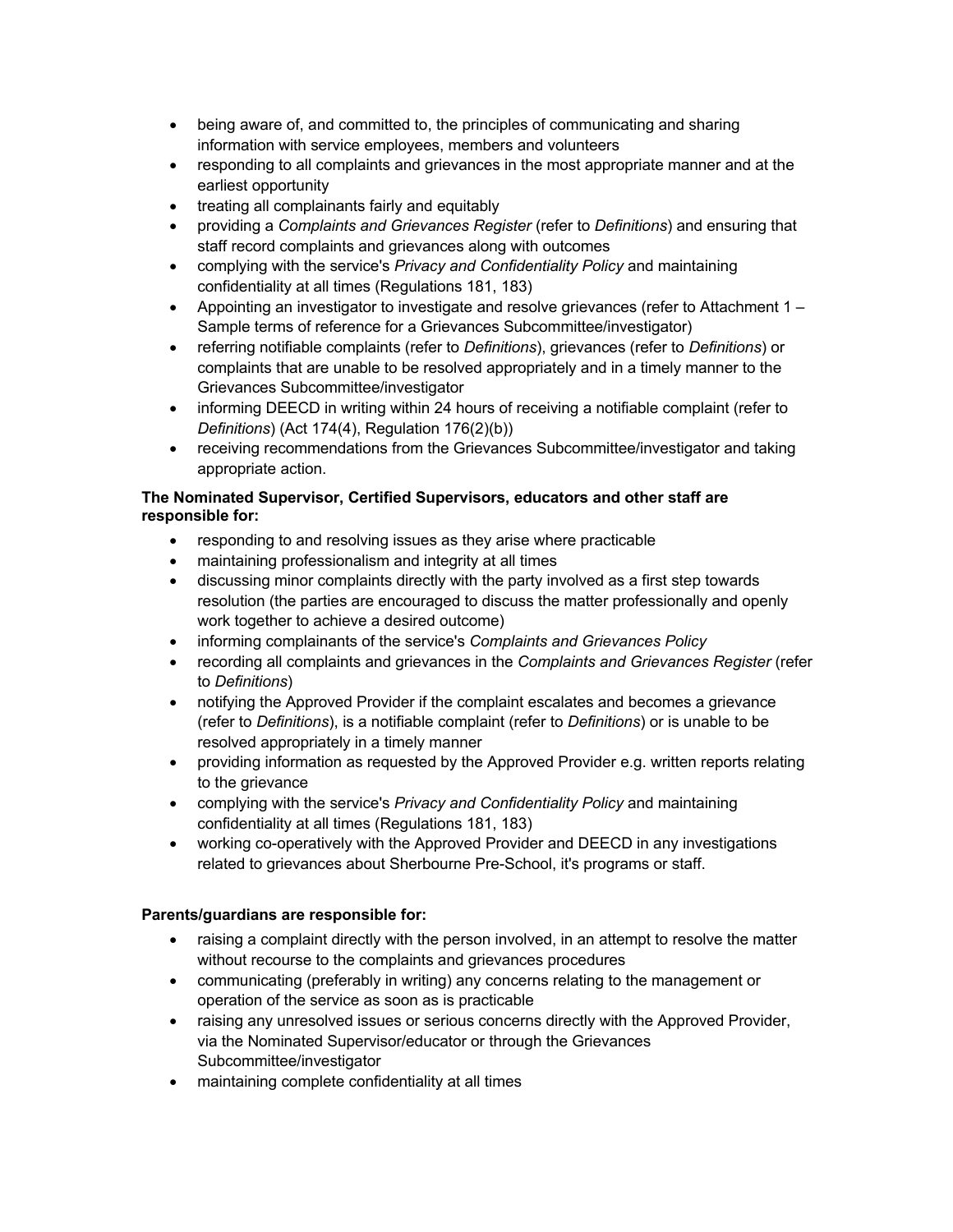- being aware of, and committed to, the principles of communicating and sharing information with service employees, members and volunteers
- responding to all complaints and grievances in the most appropriate manner and at the earliest opportunity
- treating all complainants fairly and equitably
- providing a *Complaints and Grievances Register* (refer to *Definitions*) and ensuring that staff record complaints and grievances along with outcomes
- complying with the service's *Privacy and Confidentiality Policy* and maintaining confidentiality at all times (Regulations 181, 183)
- Appointing an investigator to investigate and resolve grievances (refer to Attachment 1 Sample terms of reference for a Grievances Subcommittee/investigator)
- referring notifiable complaints (refer to *Definitions*), grievances (refer to *Definitions*) or complaints that are unable to be resolved appropriately and in a timely manner to the Grievances Subcommittee/investigator
- informing DEECD in writing within 24 hours of receiving a notifiable complaint (refer to *Definitions*) (Act 174(4), Regulation 176(2)(b))
- receiving recommendations from the Grievances Subcommittee/investigator and taking appropriate action.

#### **The Nominated Supervisor, Certified Supervisors, educators and other staff are responsible for:**

- responding to and resolving issues as they arise where practicable
- maintaining professionalism and integrity at all times
- discussing minor complaints directly with the party involved as a first step towards resolution (the parties are encouraged to discuss the matter professionally and openly work together to achieve a desired outcome)
- informing complainants of the service's *Complaints and Grievances Policy*
- recording all complaints and grievances in the *Complaints and Grievances Register* (refer to *Definitions*)
- notifying the Approved Provider if the complaint escalates and becomes a grievance (refer to *Definitions*), is a notifiable complaint (refer to *Definitions*) or is unable to be resolved appropriately in a timely manner
- providing information as requested by the Approved Provider e.g. written reports relating to the grievance
- complying with the service's *Privacy and Confidentiality Policy* and maintaining confidentiality at all times (Regulations 181, 183)
- working co-operatively with the Approved Provider and DEECD in any investigations related to grievances about Sherbourne Pre-School, it's programs or staff.

#### **Parents/guardians are responsible for:**

- raising a complaint directly with the person involved, in an attempt to resolve the matter without recourse to the complaints and grievances procedures
- communicating (preferably in writing) any concerns relating to the management or operation of the service as soon as is practicable
- raising any unresolved issues or serious concerns directly with the Approved Provider, via the Nominated Supervisor/educator or through the Grievances Subcommittee/investigator
- maintaining complete confidentiality at all times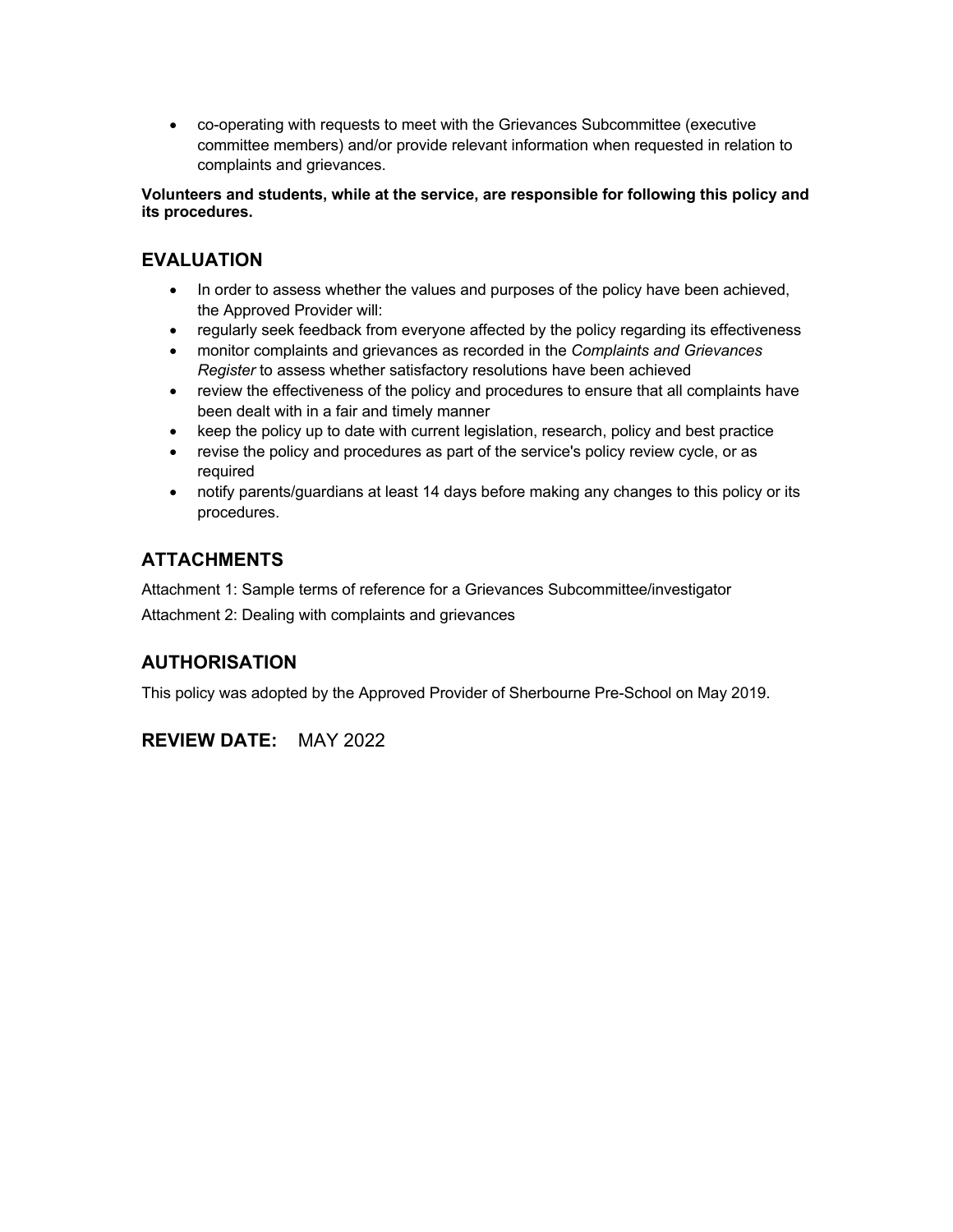• co-operating with requests to meet with the Grievances Subcommittee (executive committee members) and/or provide relevant information when requested in relation to complaints and grievances.

**Volunteers and students, while at the service, are responsible for following this policy and its procedures.**

## **EVALUATION**

- In order to assess whether the values and purposes of the policy have been achieved, the Approved Provider will:
- regularly seek feedback from everyone affected by the policy regarding its effectiveness
- monitor complaints and grievances as recorded in the *Complaints and Grievances Register* to assess whether satisfactory resolutions have been achieved
- review the effectiveness of the policy and procedures to ensure that all complaints have been dealt with in a fair and timely manner
- keep the policy up to date with current legislation, research, policy and best practice
- revise the policy and procedures as part of the service's policy review cycle, or as required
- notify parents/guardians at least 14 days before making any changes to this policy or its procedures.

## **ATTACHMENTS**

Attachment 1: Sample terms of reference for a Grievances Subcommittee/investigator Attachment 2: Dealing with complaints and grievances

## **AUTHORISATION**

This policy was adopted by the Approved Provider of Sherbourne Pre-School on May 2019.

## **REVIEW DATE:** MAY 2022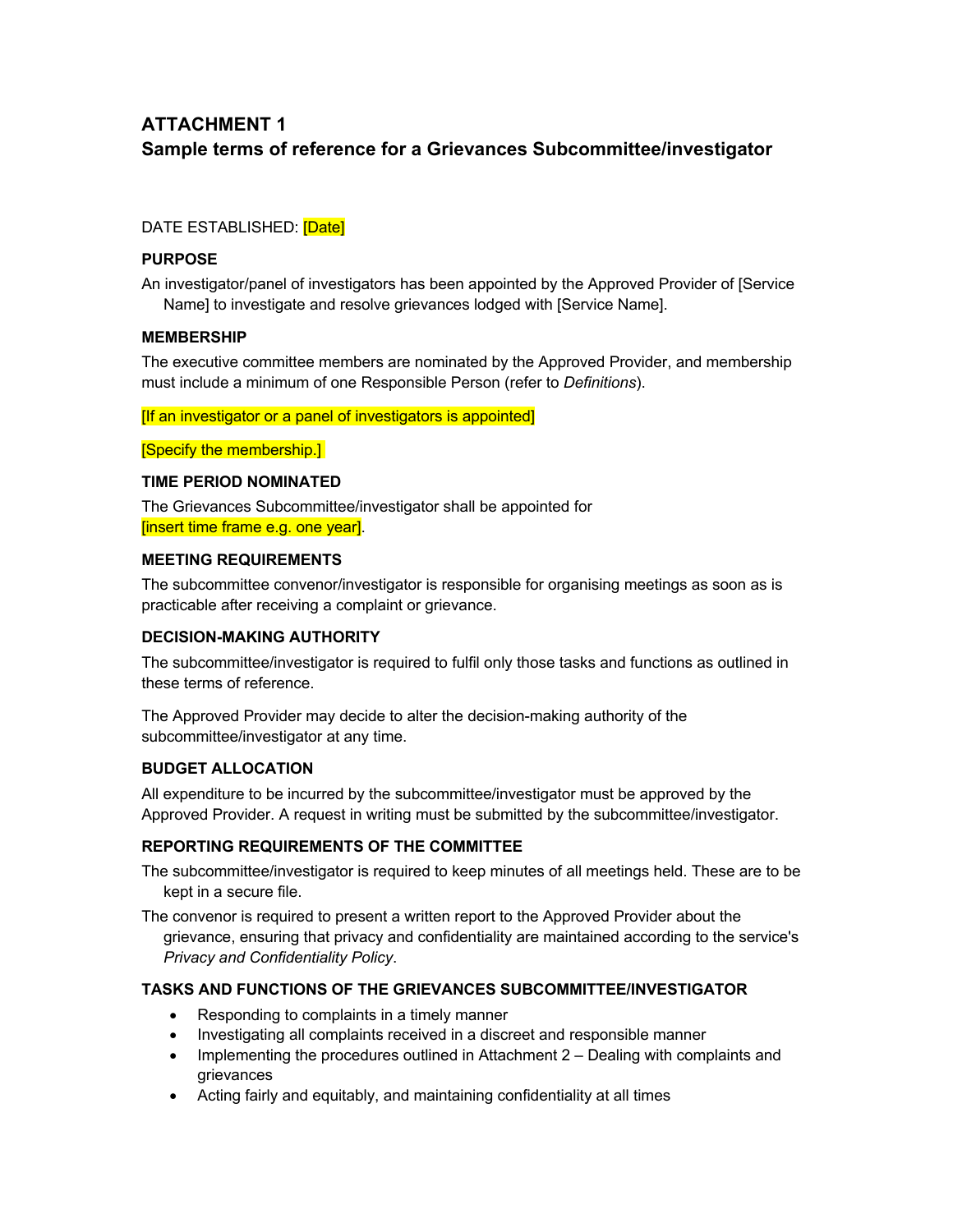# **ATTACHMENT 1 Sample terms of reference for a Grievances Subcommittee/investigator**

### DATE ESTABLISHED: **[Date]**

### **PURPOSE**

An investigator/panel of investigators has been appointed by the Approved Provider of [Service Name] to investigate and resolve grievances lodged with [Service Name].

### **MEMBERSHIP**

The executive committee members are nominated by the Approved Provider, and membership must include a minimum of one Responsible Person (refer to *Definitions*).

[If an investigator or a panel of investigators is appointed]

[Specify the membership.]

### **TIME PERIOD NOMINATED**

The Grievances Subcommittee/investigator shall be appointed for [insert time frame e.g. one year].

#### **MEETING REQUIREMENTS**

The subcommittee convenor/investigator is responsible for organising meetings as soon as is practicable after receiving a complaint or grievance.

#### **DECISION-MAKING AUTHORITY**

The subcommittee/investigator is required to fulfil only those tasks and functions as outlined in these terms of reference.

The Approved Provider may decide to alter the decision-making authority of the subcommittee/investigator at any time.

### **BUDGET ALLOCATION**

All expenditure to be incurred by the subcommittee/investigator must be approved by the Approved Provider. A request in writing must be submitted by the subcommittee/investigator.

### **REPORTING REQUIREMENTS OF THE COMMITTEE**

The subcommittee/investigator is required to keep minutes of all meetings held. These are to be kept in a secure file.

The convenor is required to present a written report to the Approved Provider about the grievance, ensuring that privacy and confidentiality are maintained according to the service's *Privacy and Confidentiality Policy*.

#### **TASKS AND FUNCTIONS OF THE GRIEVANCES SUBCOMMITTEE/INVESTIGATOR**

- Responding to complaints in a timely manner
- Investigating all complaints received in a discreet and responsible manner
- Implementing the procedures outlined in Attachment 2 Dealing with complaints and grievances
- Acting fairly and equitably, and maintaining confidentiality at all times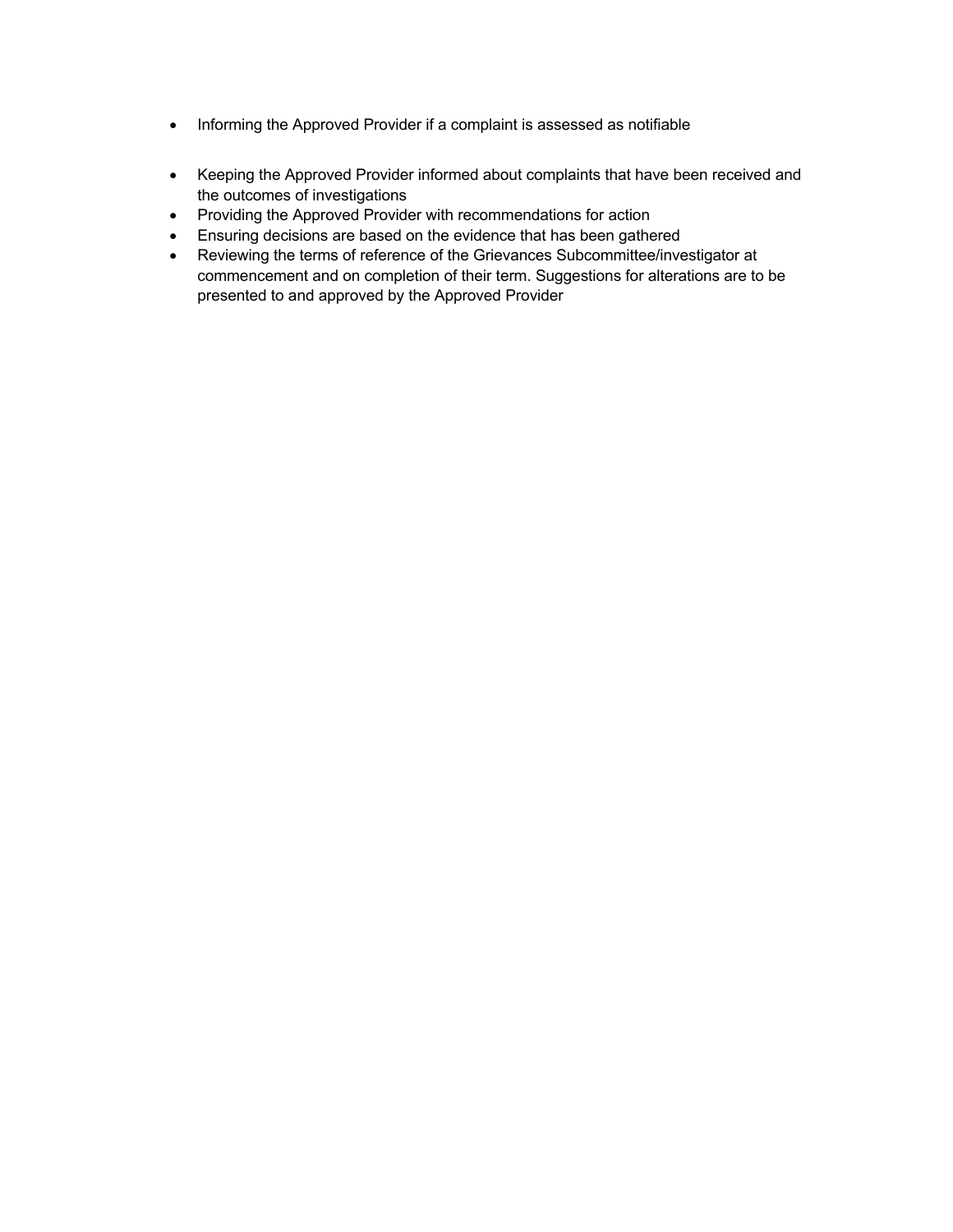- Informing the Approved Provider if a complaint is assessed as notifiable
- Keeping the Approved Provider informed about complaints that have been received and the outcomes of investigations
- Providing the Approved Provider with recommendations for action
- Ensuring decisions are based on the evidence that has been gathered
- Reviewing the terms of reference of the Grievances Subcommittee/investigator at commencement and on completion of their term. Suggestions for alterations are to be presented to and approved by the Approved Provider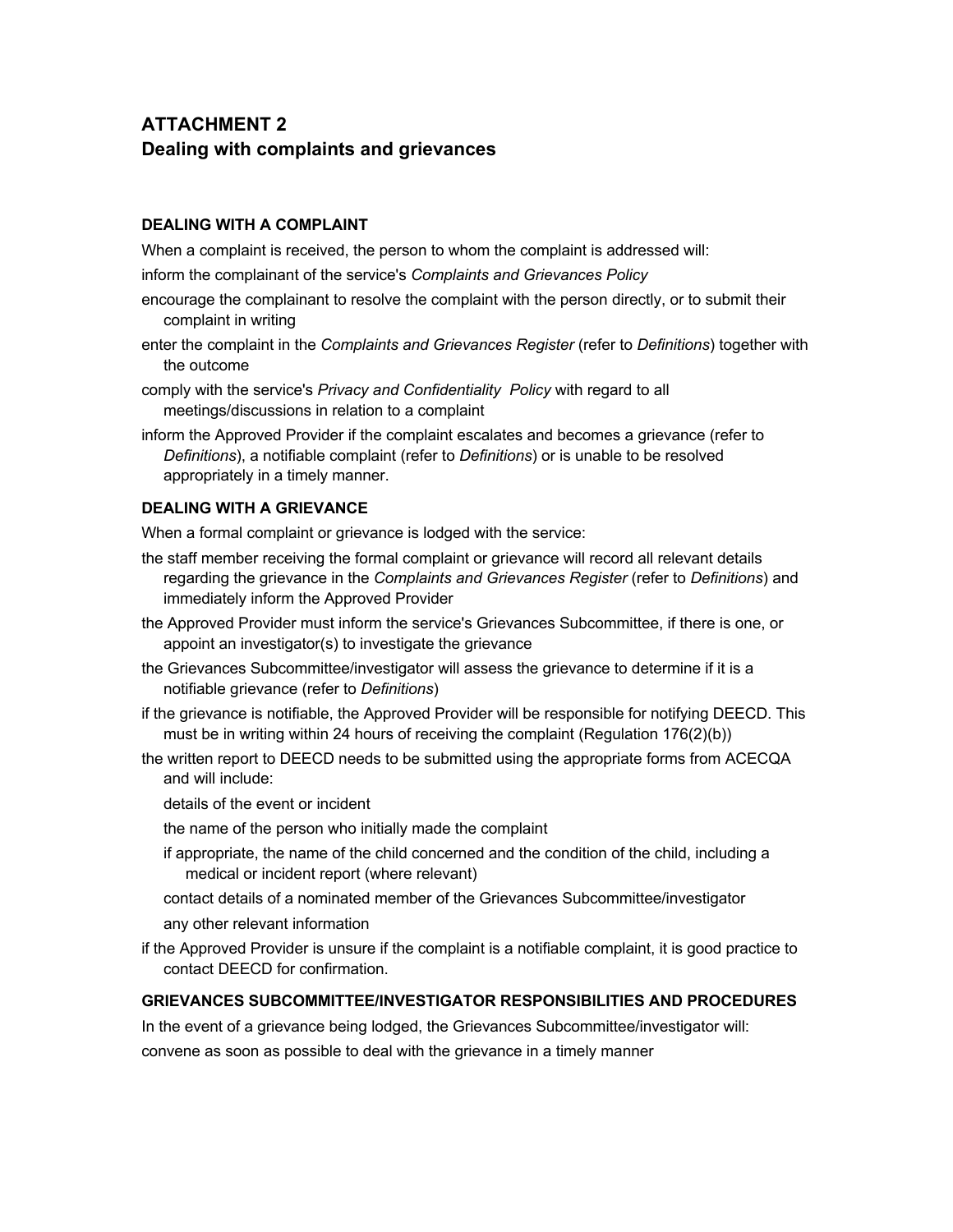# **ATTACHMENT 2 Dealing with complaints and grievances**

#### **DEALING WITH A COMPLAINT**

When a complaint is received, the person to whom the complaint is addressed will:

inform the complainant of the service's *Complaints and Grievances Policy*

- encourage the complainant to resolve the complaint with the person directly, or to submit their complaint in writing
- enter the complaint in the *Complaints and Grievances Register* (refer to *Definitions*) together with the outcome
- comply with the service's *Privacy and Confidentiality Policy* with regard to all meetings/discussions in relation to a complaint

inform the Approved Provider if the complaint escalates and becomes a grievance (refer to *Definitions*), a notifiable complaint (refer to *Definitions*) or is unable to be resolved appropriately in a timely manner.

#### **DEALING WITH A GRIEVANCE**

When a formal complaint or grievance is lodged with the service:

- the staff member receiving the formal complaint or grievance will record all relevant details regarding the grievance in the *Complaints and Grievances Register* (refer to *Definitions*) and immediately inform the Approved Provider
- the Approved Provider must inform the service's Grievances Subcommittee, if there is one, or appoint an investigator(s) to investigate the grievance
- the Grievances Subcommittee/investigator will assess the grievance to determine if it is a notifiable grievance (refer to *Definitions*)
- if the grievance is notifiable, the Approved Provider will be responsible for notifying DEECD. This must be in writing within 24 hours of receiving the complaint (Regulation 176(2)(b))
- the written report to DEECD needs to be submitted using the appropriate forms from ACECQA and will include:
	- details of the event or incident
	- the name of the person who initially made the complaint
	- if appropriate, the name of the child concerned and the condition of the child, including a medical or incident report (where relevant)
	- contact details of a nominated member of the Grievances Subcommittee/investigator any other relevant information
- if the Approved Provider is unsure if the complaint is a notifiable complaint, it is good practice to contact DEECD for confirmation.

#### **GRIEVANCES SUBCOMMITTEE/INVESTIGATOR RESPONSIBILITIES AND PROCEDURES**

In the event of a grievance being lodged, the Grievances Subcommittee/investigator will:

convene as soon as possible to deal with the grievance in a timely manner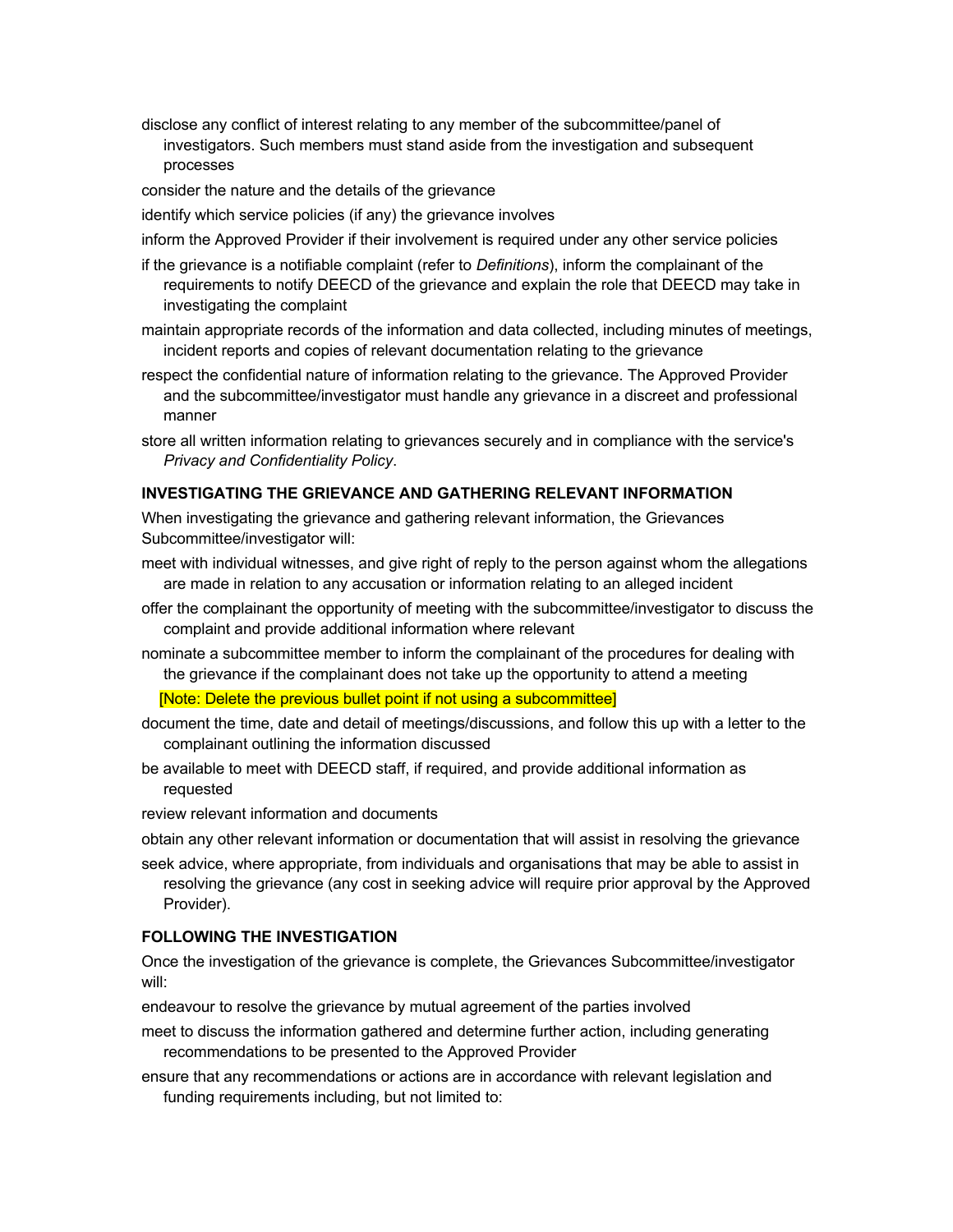disclose any conflict of interest relating to any member of the subcommittee/panel of investigators. Such members must stand aside from the investigation and subsequent processes

consider the nature and the details of the grievance

identify which service policies (if any) the grievance involves

inform the Approved Provider if their involvement is required under any other service policies

- if the grievance is a notifiable complaint (refer to *Definitions*), inform the complainant of the requirements to notify DEECD of the grievance and explain the role that DEECD may take in investigating the complaint
- maintain appropriate records of the information and data collected, including minutes of meetings, incident reports and copies of relevant documentation relating to the grievance
- respect the confidential nature of information relating to the grievance. The Approved Provider and the subcommittee/investigator must handle any grievance in a discreet and professional manner
- store all written information relating to grievances securely and in compliance with the service's *Privacy and Confidentiality Policy*.

#### **INVESTIGATING THE GRIEVANCE AND GATHERING RELEVANT INFORMATION**

When investigating the grievance and gathering relevant information, the Grievances Subcommittee/investigator will:

- meet with individual witnesses, and give right of reply to the person against whom the allegations are made in relation to any accusation or information relating to an alleged incident
- offer the complainant the opportunity of meeting with the subcommittee/investigator to discuss the complaint and provide additional information where relevant
- nominate a subcommittee member to inform the complainant of the procedures for dealing with the grievance if the complainant does not take up the opportunity to attend a meeting

[Note: Delete the previous bullet point if not using a subcommittee]

- document the time, date and detail of meetings/discussions, and follow this up with a letter to the complainant outlining the information discussed
- be available to meet with DEECD staff, if required, and provide additional information as requested
- review relevant information and documents
- obtain any other relevant information or documentation that will assist in resolving the grievance
- seek advice, where appropriate, from individuals and organisations that may be able to assist in resolving the grievance (any cost in seeking advice will require prior approval by the Approved Provider).

#### **FOLLOWING THE INVESTIGATION**

Once the investigation of the grievance is complete, the Grievances Subcommittee/investigator will:

endeavour to resolve the grievance by mutual agreement of the parties involved

- meet to discuss the information gathered and determine further action, including generating recommendations to be presented to the Approved Provider
- ensure that any recommendations or actions are in accordance with relevant legislation and funding requirements including, but not limited to: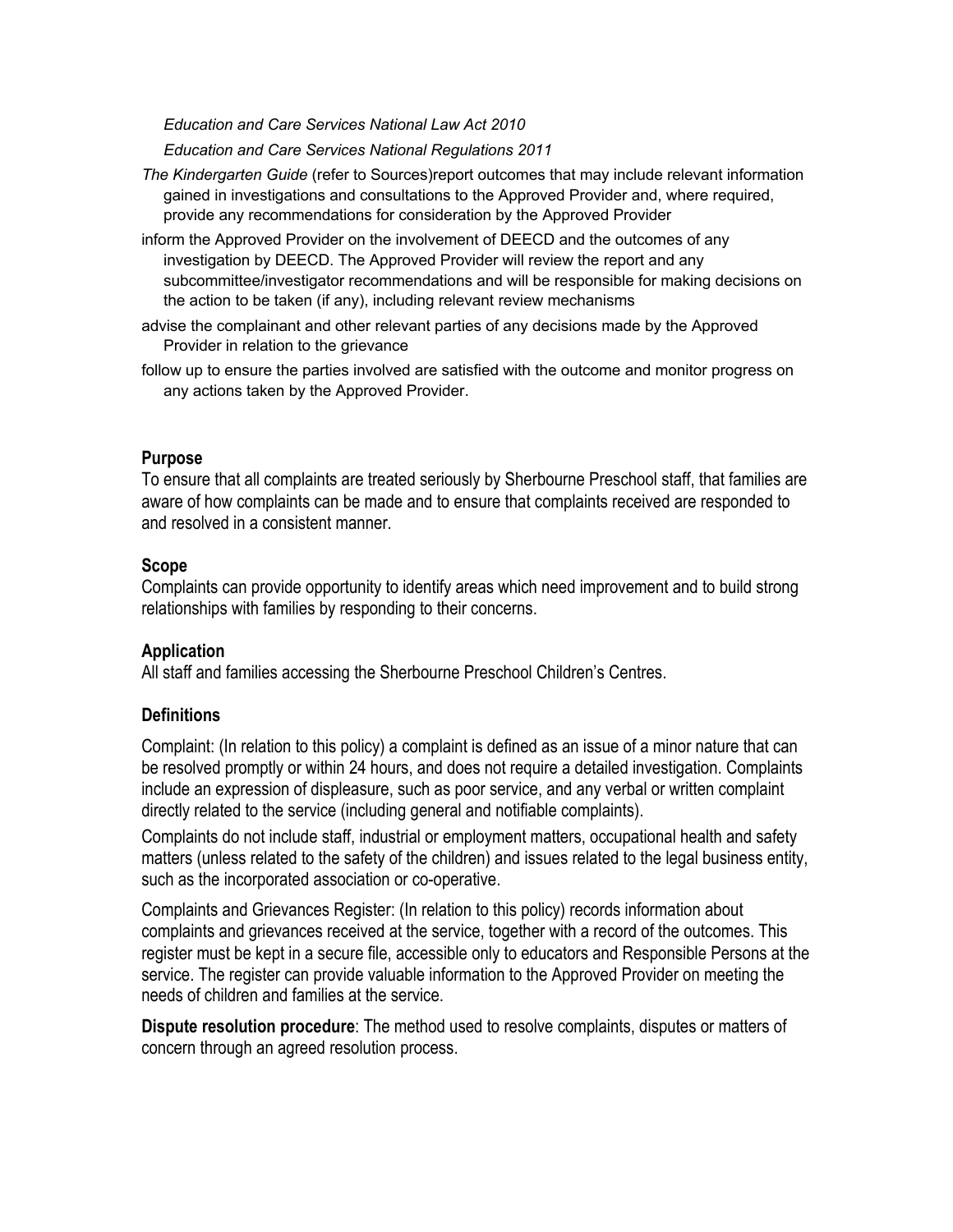*Education and Care Services National Law Act 2010*

*Education and Care Services National Regulations 2011*

- *The Kindergarten Guide* (refer to Sources)report outcomes that may include relevant information gained in investigations and consultations to the Approved Provider and, where required, provide any recommendations for consideration by the Approved Provider
- inform the Approved Provider on the involvement of DEECD and the outcomes of any investigation by DEECD. The Approved Provider will review the report and any subcommittee/investigator recommendations and will be responsible for making decisions on the action to be taken (if any), including relevant review mechanisms
- advise the complainant and other relevant parties of any decisions made by the Approved Provider in relation to the grievance
- follow up to ensure the parties involved are satisfied with the outcome and monitor progress on any actions taken by the Approved Provider.

### **Purpose**

To ensure that all complaints are treated seriously by Sherbourne Preschool staff, that families are aware of how complaints can be made and to ensure that complaints received are responded to and resolved in a consistent manner.

### **Scope**

Complaints can provide opportunity to identify areas which need improvement and to build strong relationships with families by responding to their concerns.

### **Application**

All staff and families accessing the Sherbourne Preschool Children's Centres.

### **Definitions**

Complaint: (In relation to this policy) a complaint is defined as an issue of a minor nature that can be resolved promptly or within 24 hours, and does not require a detailed investigation. Complaints include an expression of displeasure, such as poor service, and any verbal or written complaint directly related to the service (including general and notifiable complaints).

Complaints do not include staff, industrial or employment matters, occupational health and safety matters (unless related to the safety of the children) and issues related to the legal business entity, such as the incorporated association or co-operative.

Complaints and Grievances Register: (In relation to this policy) records information about complaints and grievances received at the service, together with a record of the outcomes. This register must be kept in a secure file, accessible only to educators and Responsible Persons at the service. The register can provide valuable information to the Approved Provider on meeting the needs of children and families at the service.

**Dispute resolution procedure**: The method used to resolve complaints, disputes or matters of concern through an agreed resolution process.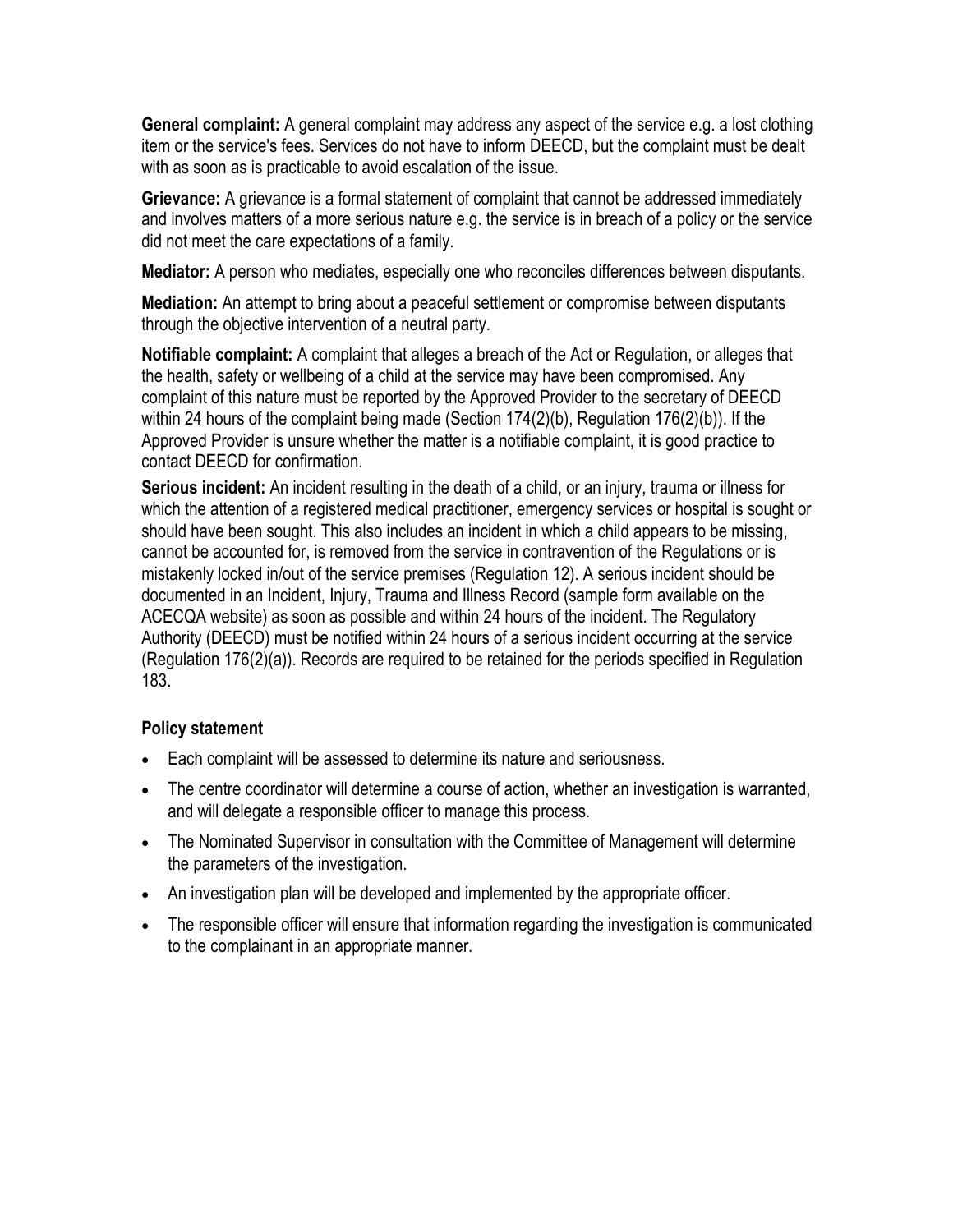**General complaint:** A general complaint may address any aspect of the service e.g. a lost clothing item or the service's fees. Services do not have to inform DEECD, but the complaint must be dealt with as soon as is practicable to avoid escalation of the issue.

**Grievance:** A grievance is a formal statement of complaint that cannot be addressed immediately and involves matters of a more serious nature e.g. the service is in breach of a policy or the service did not meet the care expectations of a family.

**Mediator:** A person who mediates, especially one who reconciles differences between disputants.

**Mediation:** An attempt to bring about a peaceful settlement or compromise between disputants through the objective intervention of a neutral party.

**Notifiable complaint:** A complaint that alleges a breach of the Act or Regulation, or alleges that the health, safety or wellbeing of a child at the service may have been compromised. Any complaint of this nature must be reported by the Approved Provider to the secretary of DEECD within 24 hours of the complaint being made (Section 174(2)(b), Regulation 176(2)(b)). If the Approved Provider is unsure whether the matter is a notifiable complaint, it is good practice to contact DEECD for confirmation.

**Serious incident:** An incident resulting in the death of a child, or an injury, trauma or illness for which the attention of a registered medical practitioner, emergency services or hospital is sought or should have been sought. This also includes an incident in which a child appears to be missing, cannot be accounted for, is removed from the service in contravention of the Regulations or is mistakenly locked in/out of the service premises (Regulation 12). A serious incident should be documented in an Incident, Injury, Trauma and Illness Record (sample form available on the ACECQA website) as soon as possible and within 24 hours of the incident. The Regulatory Authority (DEECD) must be notified within 24 hours of a serious incident occurring at the service (Regulation 176(2)(a)). Records are required to be retained for the periods specified in Regulation 183.

## **Policy statement**

- Each complaint will be assessed to determine its nature and seriousness.
- The centre coordinator will determine a course of action, whether an investigation is warranted, and will delegate a responsible officer to manage this process.
- The Nominated Supervisor in consultation with the Committee of Management will determine the parameters of the investigation.
- An investigation plan will be developed and implemented by the appropriate officer.
- The responsible officer will ensure that information regarding the investigation is communicated to the complainant in an appropriate manner.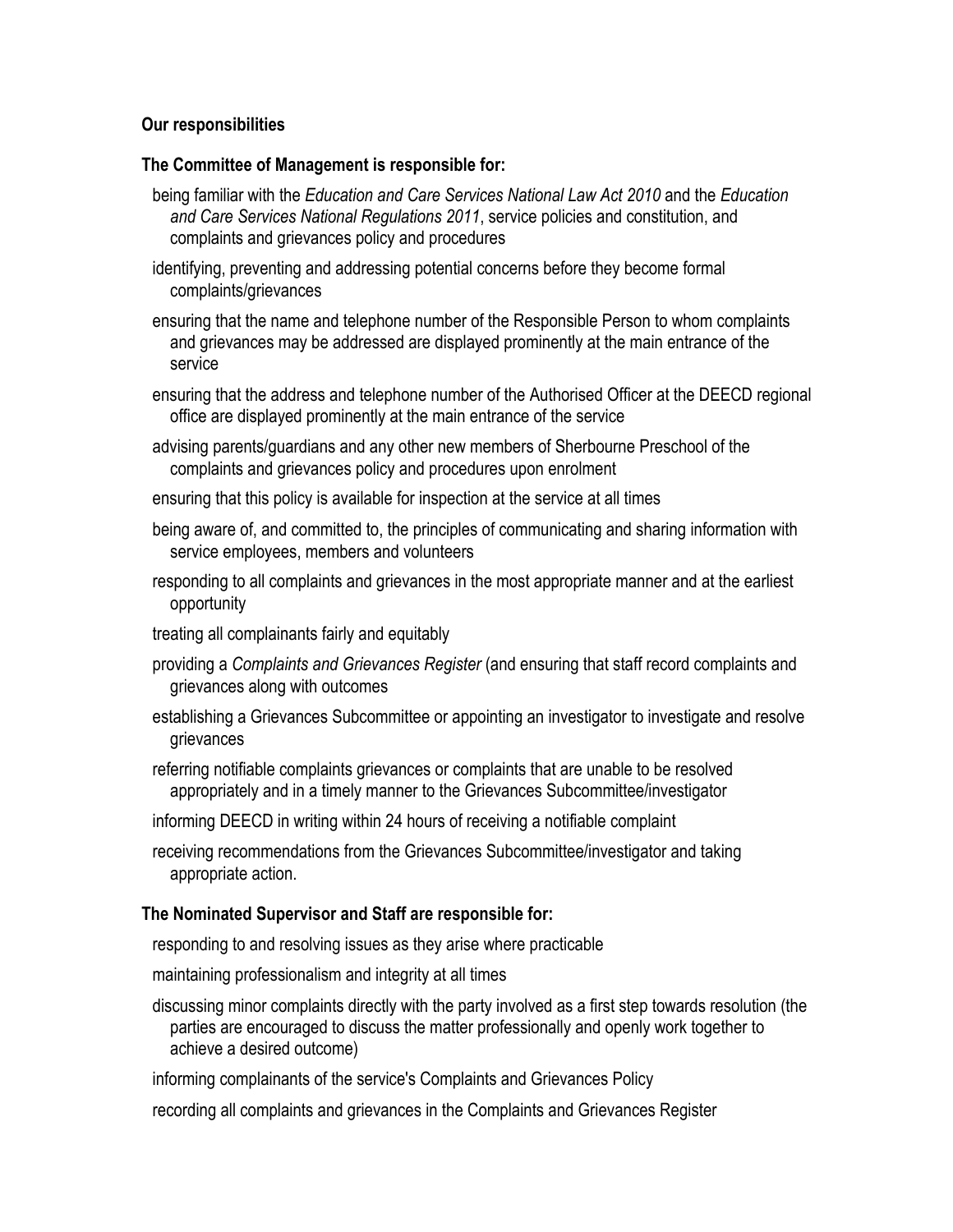## **Our responsibilities**

### **The Committee of Management is responsible for:**

- being familiar with the *Education and Care Services National Law Act 2010* and the *Education and Care Services National Regulations 2011*, service policies and constitution, and complaints and grievances policy and procedures
- identifying, preventing and addressing potential concerns before they become formal complaints/grievances
- ensuring that the name and telephone number of the Responsible Person to whom complaints and grievances may be addressed are displayed prominently at the main entrance of the service
- ensuring that the address and telephone number of the Authorised Officer at the DEECD regional office are displayed prominently at the main entrance of the service
- advising parents/guardians and any other new members of Sherbourne Preschool of the complaints and grievances policy and procedures upon enrolment
- ensuring that this policy is available for inspection at the service at all times
- being aware of, and committed to, the principles of communicating and sharing information with service employees, members and volunteers
- responding to all complaints and grievances in the most appropriate manner and at the earliest opportunity
- treating all complainants fairly and equitably
- providing a *Complaints and Grievances Register* (and ensuring that staff record complaints and grievances along with outcomes
- establishing a Grievances Subcommittee or appointing an investigator to investigate and resolve grievances
- referring notifiable complaints grievances or complaints that are unable to be resolved appropriately and in a timely manner to the Grievances Subcommittee/investigator
- informing DEECD in writing within 24 hours of receiving a notifiable complaint
- receiving recommendations from the Grievances Subcommittee/investigator and taking appropriate action.

### **The Nominated Supervisor and Staff are responsible for:**

responding to and resolving issues as they arise where practicable

maintaining professionalism and integrity at all times

discussing minor complaints directly with the party involved as a first step towards resolution (the parties are encouraged to discuss the matter professionally and openly work together to achieve a desired outcome)

informing complainants of the service's Complaints and Grievances Policy

recording all complaints and grievances in the Complaints and Grievances Register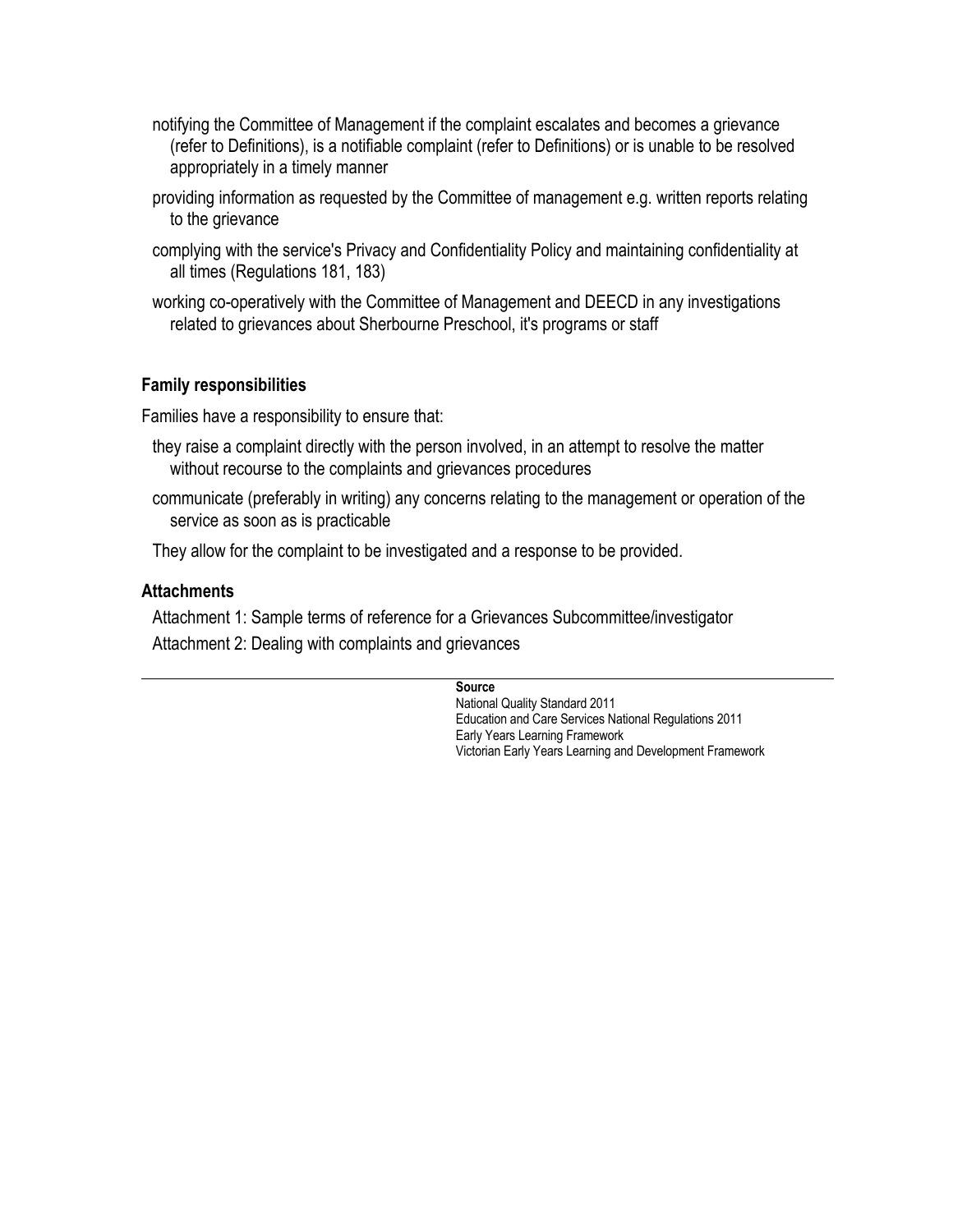- notifying the Committee of Management if the complaint escalates and becomes a grievance (refer to Definitions), is a notifiable complaint (refer to Definitions) or is unable to be resolved appropriately in a timely manner
- providing information as requested by the Committee of management e.g. written reports relating to the grievance
- complying with the service's Privacy and Confidentiality Policy and maintaining confidentiality at all times (Regulations 181, 183)
- working co-operatively with the Committee of Management and DEECD in any investigations related to grievances about Sherbourne Preschool, it's programs or staff

## **Family responsibilities**

Families have a responsibility to ensure that:

- they raise a complaint directly with the person involved, in an attempt to resolve the matter without recourse to the complaints and grievances procedures
- communicate (preferably in writing) any concerns relating to the management or operation of the service as soon as is practicable

They allow for the complaint to be investigated and a response to be provided.

## **Attachments**

Attachment 1: Sample terms of reference for a Grievances Subcommittee/investigator Attachment 2: Dealing with complaints and grievances

#### **Source**

National Quality Standard 2011 Education and Care Services National Regulations 2011 Early Years Learning Framework Victorian Early Years Learning and Development Framework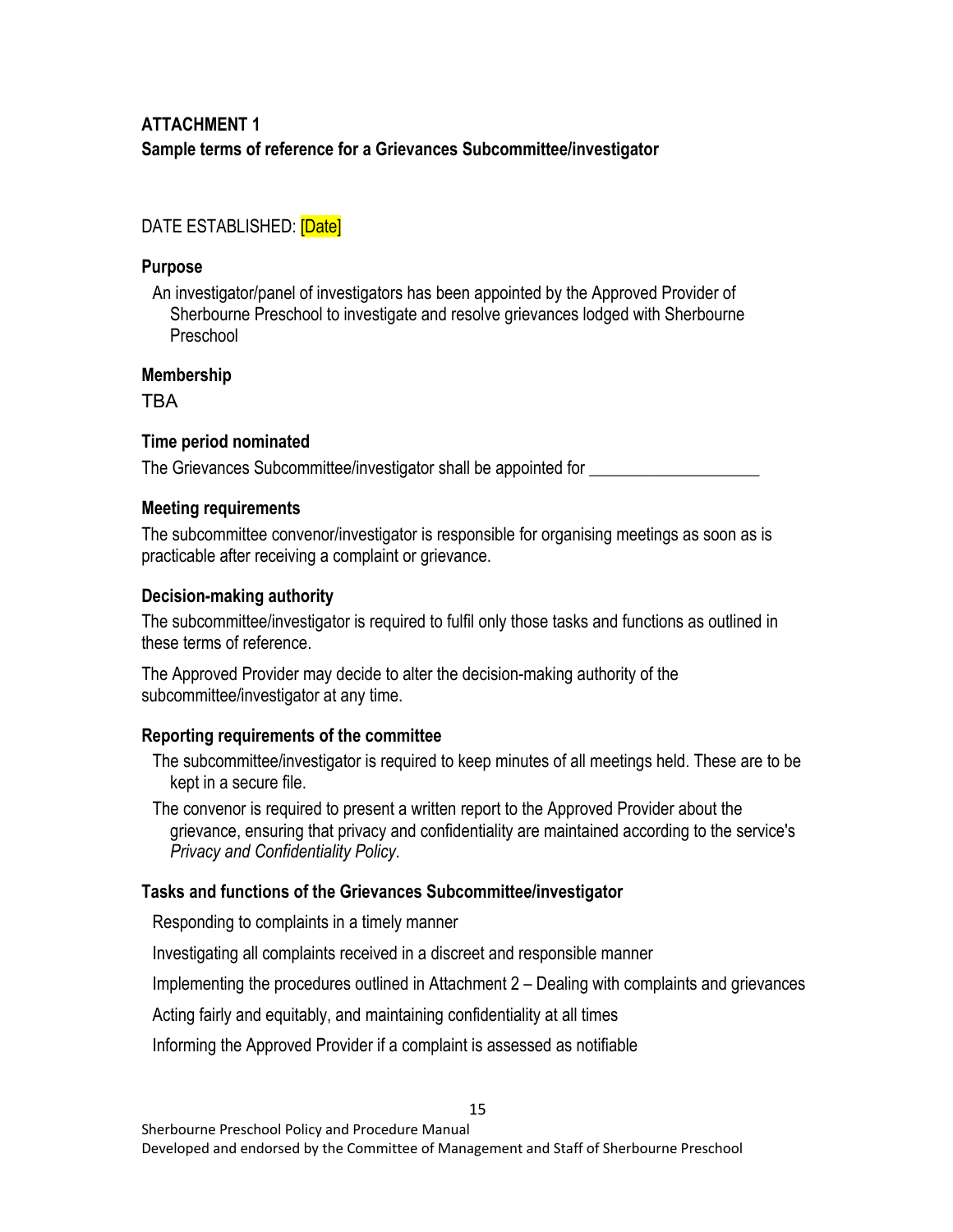# **ATTACHMENT 1 Sample terms of reference for a Grievances Subcommittee/investigator**

## DATE ESTABLISHED: [Date]

## **Purpose**

An investigator/panel of investigators has been appointed by the Approved Provider of Sherbourne Preschool to investigate and resolve grievances lodged with Sherbourne Preschool

## **Membership**

TBA

## **Time period nominated**

The Grievances Subcommittee/investigator shall be appointed for \_\_\_\_\_\_\_\_\_\_\_\_\_\_\_\_

## **Meeting requirements**

The subcommittee convenor/investigator is responsible for organising meetings as soon as is practicable after receiving a complaint or grievance.

## **Decision-making authority**

The subcommittee/investigator is required to fulfil only those tasks and functions as outlined in these terms of reference.

The Approved Provider may decide to alter the decision-making authority of the subcommittee/investigator at any time.

## **Reporting requirements of the committee**

The subcommittee/investigator is required to keep minutes of all meetings held. These are to be kept in a secure file.

The convenor is required to present a written report to the Approved Provider about the grievance, ensuring that privacy and confidentiality are maintained according to the service's *Privacy and Confidentiality Policy*.

## **Tasks and functions of the Grievances Subcommittee/investigator**

Responding to complaints in a timely manner

Investigating all complaints received in a discreet and responsible manner

Implementing the procedures outlined in Attachment 2 – Dealing with complaints and grievances

15

Acting fairly and equitably, and maintaining confidentiality at all times

Informing the Approved Provider if a complaint is assessed as notifiable

Developed and endorsed by the Committee of Management and Staff of Sherbourne Preschool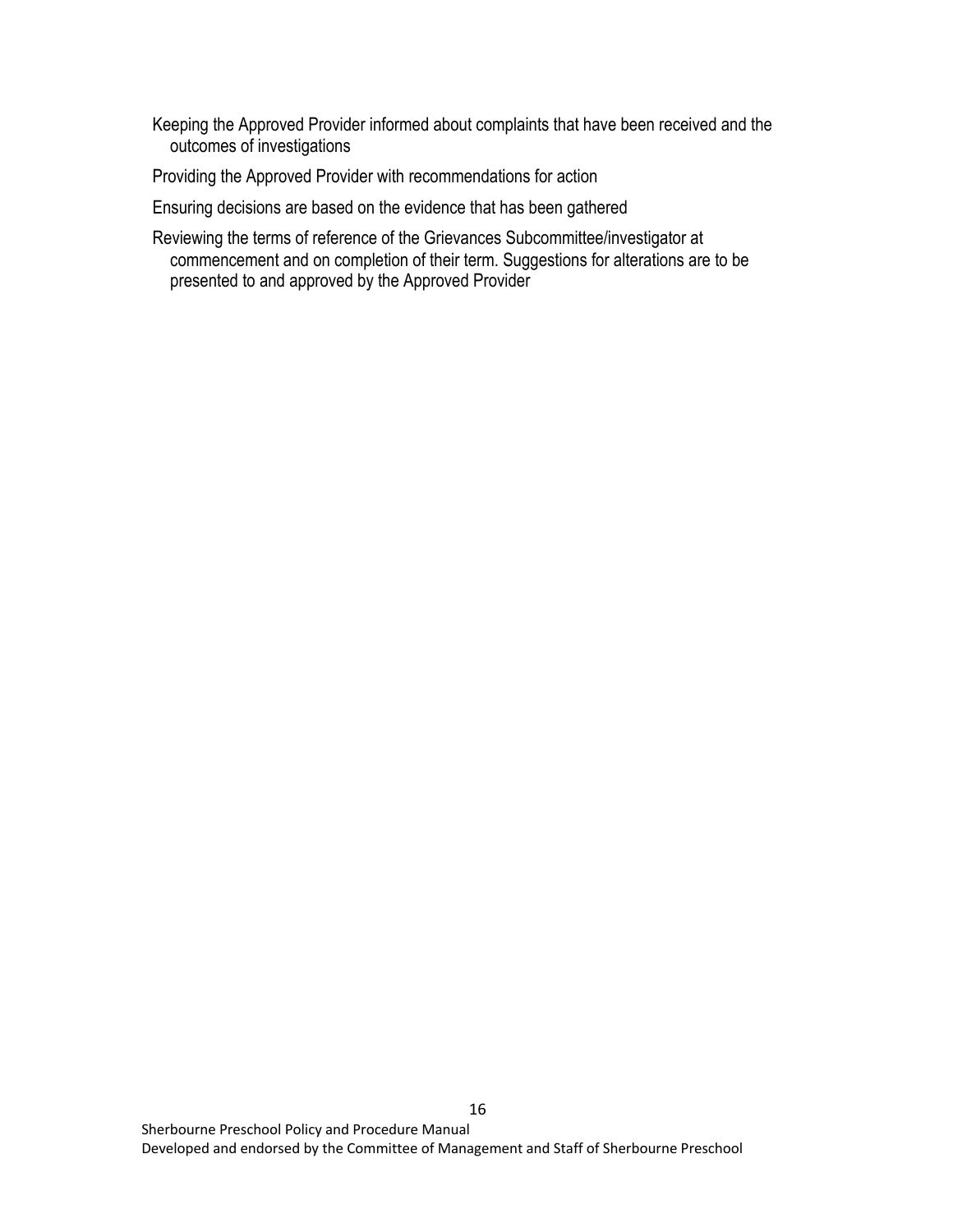Keeping the Approved Provider informed about complaints that have been received and the outcomes of investigations

Providing the Approved Provider with recommendations for action

Ensuring decisions are based on the evidence that has been gathered

Reviewing the terms of reference of the Grievances Subcommittee/investigator at commencement and on completion of their term. Suggestions for alterations are to be presented to and approved by the Approved Provider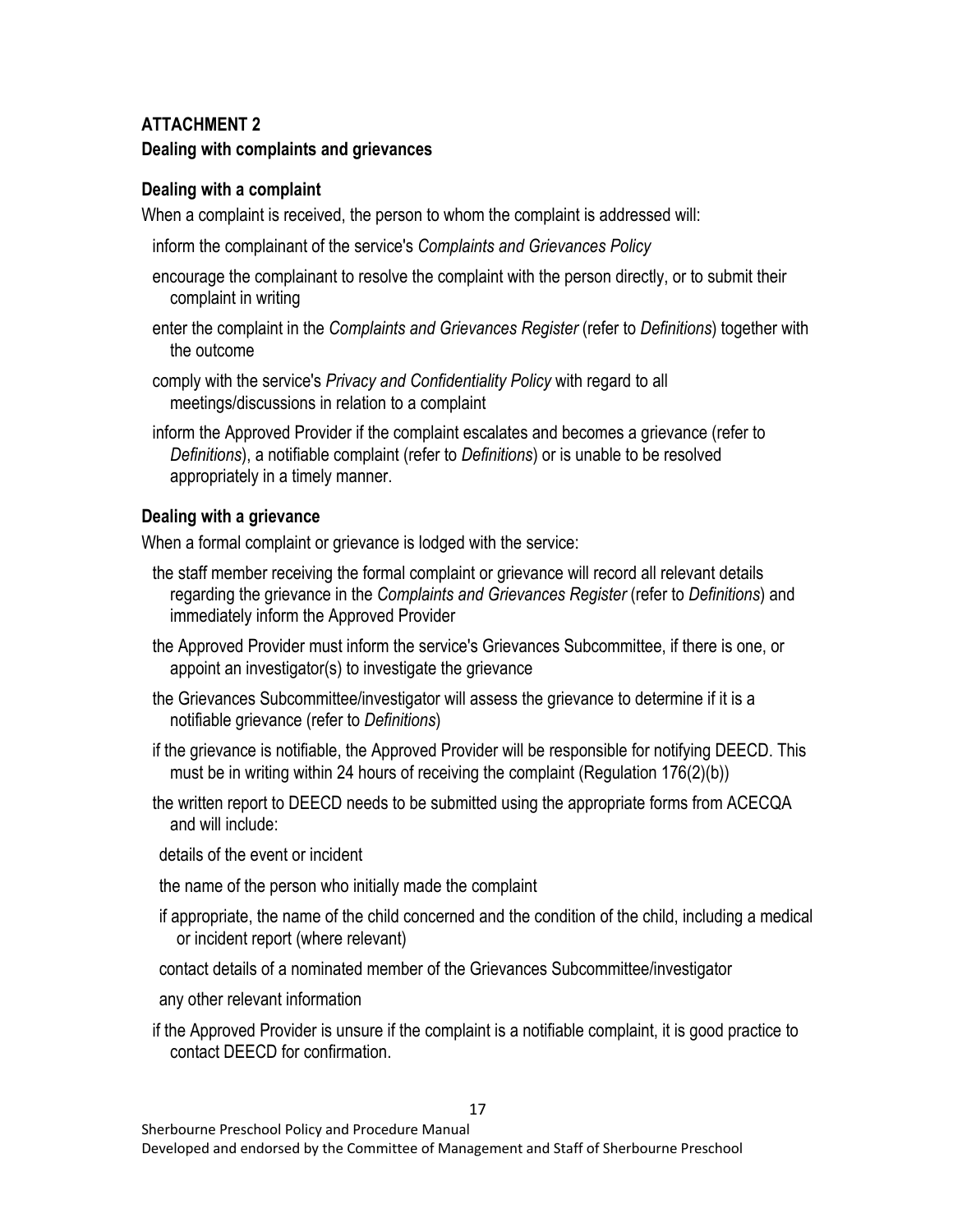## **ATTACHMENT 2 Dealing with complaints and grievances**

## **Dealing with a complaint**

When a complaint is received, the person to whom the complaint is addressed will:

- inform the complainant of the service's *Complaints and Grievances Policy*
- encourage the complainant to resolve the complaint with the person directly, or to submit their complaint in writing
- enter the complaint in the *Complaints and Grievances Register* (refer to *Definitions*) together with the outcome
- comply with the service's *Privacy and Confidentiality Policy* with regard to all meetings/discussions in relation to a complaint
- inform the Approved Provider if the complaint escalates and becomes a grievance (refer to *Definitions*), a notifiable complaint (refer to *Definitions*) or is unable to be resolved appropriately in a timely manner.

## **Dealing with a grievance**

When a formal complaint or grievance is lodged with the service:

- the staff member receiving the formal complaint or grievance will record all relevant details regarding the grievance in the *Complaints and Grievances Register* (refer to *Definitions*) and immediately inform the Approved Provider
- the Approved Provider must inform the service's Grievances Subcommittee, if there is one, or appoint an investigator(s) to investigate the grievance
- the Grievances Subcommittee/investigator will assess the grievance to determine if it is a notifiable grievance (refer to *Definitions*)
- if the grievance is notifiable, the Approved Provider will be responsible for notifying DEECD. This must be in writing within 24 hours of receiving the complaint (Regulation 176(2)(b))
- the written report to DEECD needs to be submitted using the appropriate forms from ACECQA and will include:
- details of the event or incident
- the name of the person who initially made the complaint
- if appropriate, the name of the child concerned and the condition of the child, including a medical or incident report (where relevant)
- contact details of a nominated member of the Grievances Subcommittee/investigator
- any other relevant information
- if the Approved Provider is unsure if the complaint is a notifiable complaint, it is good practice to contact DEECD for confirmation.

Sherbourne Preschool Policy and Procedure Manual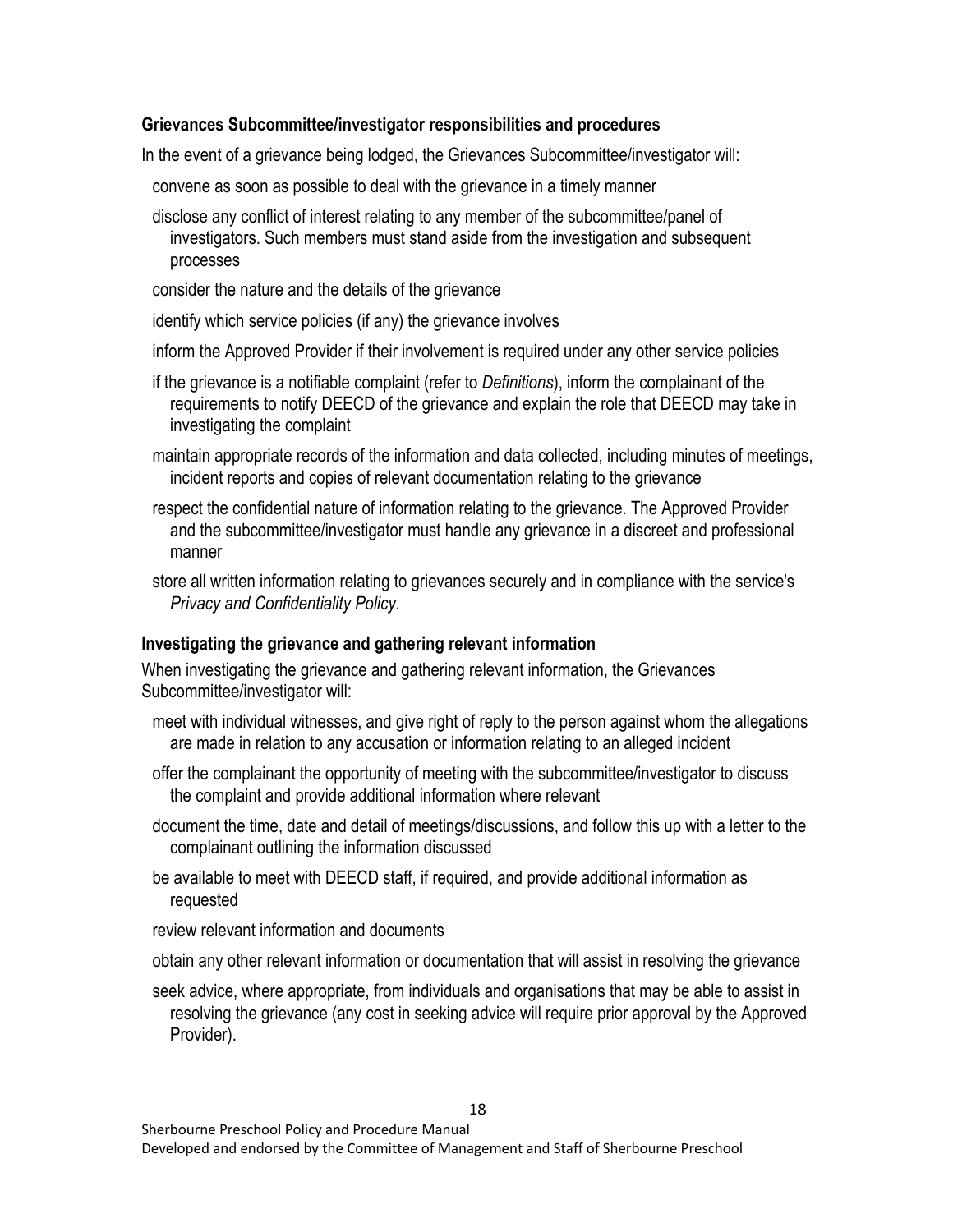## **Grievances Subcommittee/investigator responsibilities and procedures**

In the event of a grievance being lodged, the Grievances Subcommittee/investigator will:

- convene as soon as possible to deal with the grievance in a timely manner
- disclose any conflict of interest relating to any member of the subcommittee/panel of investigators. Such members must stand aside from the investigation and subsequent processes
- consider the nature and the details of the grievance
- identify which service policies (if any) the grievance involves
- inform the Approved Provider if their involvement is required under any other service policies
- if the grievance is a notifiable complaint (refer to *Definitions*), inform the complainant of the requirements to notify DEECD of the grievance and explain the role that DEECD may take in investigating the complaint
- maintain appropriate records of the information and data collected, including minutes of meetings, incident reports and copies of relevant documentation relating to the grievance
- respect the confidential nature of information relating to the grievance. The Approved Provider and the subcommittee/investigator must handle any grievance in a discreet and professional manner
- store all written information relating to grievances securely and in compliance with the service's *Privacy and Confidentiality Policy*.

## **Investigating the grievance and gathering relevant information**

When investigating the grievance and gathering relevant information, the Grievances Subcommittee/investigator will:

- meet with individual witnesses, and give right of reply to the person against whom the allegations are made in relation to any accusation or information relating to an alleged incident
- offer the complainant the opportunity of meeting with the subcommittee/investigator to discuss the complaint and provide additional information where relevant
- document the time, date and detail of meetings/discussions, and follow this up with a letter to the complainant outlining the information discussed
- be available to meet with DEECD staff, if required, and provide additional information as requested
- review relevant information and documents
- obtain any other relevant information or documentation that will assist in resolving the grievance
- seek advice, where appropriate, from individuals and organisations that may be able to assist in resolving the grievance (any cost in seeking advice will require prior approval by the Approved Provider).